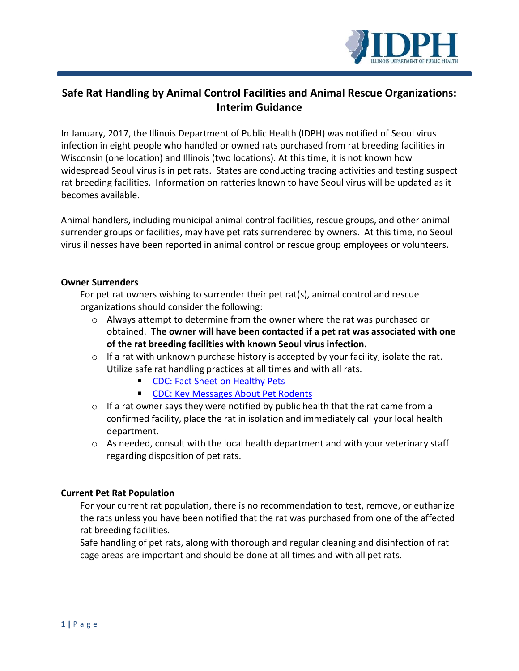

# **Safe Rat Handling by Animal Control Facilities and Animal Rescue Organizations: Interim Guidance**

In January, 2017, the Illinois Department of Public Health (IDPH) was notified of Seoul virus infection in eight people who handled or owned rats purchased from rat breeding facilities in Wisconsin (one location) and Illinois (two locations). At this time, it is not known how widespread Seoul virus is in pet rats. States are conducting tracing activities and testing suspect rat breeding facilities. Information on ratteries known to have Seoul virus will be updated as it becomes available.

Animal handlers, including municipal animal control facilities, rescue groups, and other animal surrender groups or facilities, may have pet rats surrendered by owners. At this time, no Seoul virus illnesses have been reported in animal control or rescue group employees or volunteers.

## **Owner Surrenders**

For pet rat owners wishing to surrender their pet rat(s), animal control and rescue organizations should consider the following:

- $\circ$  Always attempt to determine from the owner where the rat was purchased or obtained. **The owner will have been contacted if a pet rat was associated with one of the rat breeding facilities with known Seoul virus infection.**
- $\circ$  If a rat with unknown purchase history is accepted by your facility, isolate the rat. Utilize safe rat handling practices at all times and with all rats.
	- **[CDC: Fact Sheet on Healthy Pets](https://www.cdc.gov/healthypets/resources/pet-rodents-8x11-508.pdf)**
	- **[CDC: Key Messages About Pet Rodents](https://www.cdc.gov/healthypets/pets/small-mammals/petrodents.html)**
- $\circ$  If a rat owner says they were notified by public health that the rat came from a confirmed facility, place the rat in isolation and immediately call your local health department.
- o As needed, consult with the local health department and with your veterinary staff regarding disposition of pet rats.

## **Current Pet Rat Population**

For your current rat population, there is no recommendation to test, remove, or euthanize the rats unless you have been notified that the rat was purchased from one of the affected rat breeding facilities.

Safe handling of pet rats, along with thorough and regular cleaning and disinfection of rat cage areas are important and should be done at all times and with all pet rats.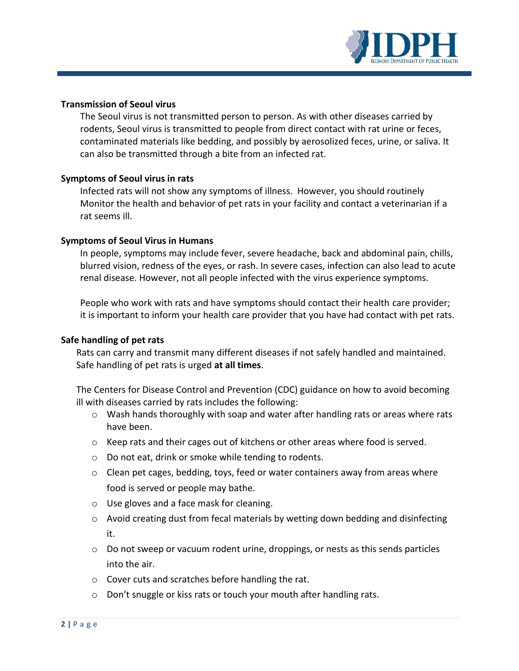

### **Transmission of Seoul virus**

The Seoul virus is not transmitted person to person. As with other diseases carried by rodents, Seoul virus is transmitted to people from direct contact with rat urine or feces, contaminated materials like bedding, and possibly by aerosolized feces, urine, or saliva. It can also be transmitted through a bite from an infected rat.

#### **Symptoms of Seoul virus in rats**

Infected rats will not show any symptoms of illness. However, you should routinely Monitor the health and behavior of pet rats in your facility and contact a veterinarian if a rat seems ill.

#### **Symptoms of Seoul Virus in Humans**

In people, symptoms may include fever, severe headache, back and abdominal pain, chills, blurred vision, redness of the eyes, or rash. In severe cases, infection can also lead to acute renal disease. However, not all people infected with the virus experience symptoms.

People who work with rats and have symptoms should contact their health care provider; it is important to inform your health care provider that you have had contact with pet rats.

#### **Safe handling of pet rats**

Rats can carry and transmit many different diseases if not safely handled and maintained. Safe handling of pet rats is urged **at all times**.

The Centers for Disease Control and Prevention (CDC) guidance on how to avoid becoming ill with diseases carried by rats includes the following:

- o Wash hands thoroughly with soap and water after handling rats or areas where rats have been.
- o Keep rats and their cages out of kitchens or other areas where food is served.
- o Do not eat, drink or smoke while tending to rodents.
- o Clean pet cages, bedding, toys, feed or water containers away from areas where food is served or people may bathe.
- o Use gloves and a face mask for cleaning.
- $\circ$  Avoid creating dust from fecal materials by wetting down bedding and disinfecting it.
- $\circ$  Do not sweep or vacuum rodent urine, droppings, or nests as this sends particles into the air.
- o Cover cuts and scratches before handling the rat.
- o Don't snuggle or kiss rats or touch your mouth after handling rats.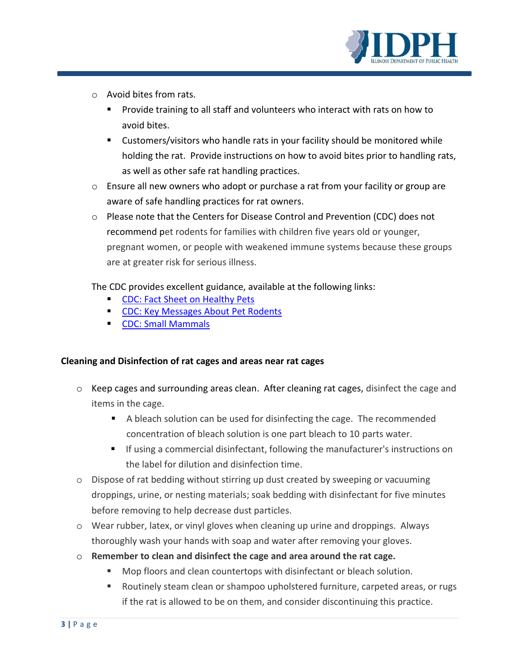

- o Avoid bites from rats.
	- **Provide training to all staff and volunteers who interact with rats on how to** avoid bites.
	- Customers/visitors who handle rats in your facility should be monitored while holding the rat. Provide instructions on how to avoid bites prior to handling rats, as well as other safe rat handling practices.
- o Ensure all new owners who adopt or purchase a rat from your facility or group are aware of safe handling practices for rat owners.
- o Please note that the Centers for Disease Control and Prevention (CDC) does not recommend pet rodents for families with children five years old or younger, pregnant women, or people with weakened immune systems because these groups are at greater risk for serious illness.

The CDC provides excellent guidance, available at the following links:

- [CDC: Fact Sheet on Healthy Pets](https://www.cdc.gov/healthypets/resources/pet-rodents-8x11-508.pdf)
- [CDC: Key Messages About Pet Rodents](https://www.cdc.gov/healthypets/pets/small-mammals/petrodents.html)
- **[CDC: Small Mammals](https://www.cdc.gov/healthypets/pets/small-mammals/)**

## **Cleaning and Disinfection of rat cages and areas near rat cages**

- o Keep cages and surrounding areas clean. After cleaning rat cages, disinfect the cage and items in the cage.
	- A bleach solution can be used for disinfecting the cage. The recommended concentration of bleach solution is one part bleach to 10 parts water.
	- If using a commercial disinfectant, following the manufacturer's instructions on the label for dilution and disinfection time.
- o Dispose of rat bedding without stirring up dust created by sweeping or vacuuming droppings, urine, or nesting materials; soak bedding with disinfectant for five minutes before removing to help decrease dust particles.
- o Wear rubber, latex, or vinyl gloves when cleaning up urine and droppings. Always thoroughly wash your hands with soap and water after removing your gloves.
- o **Remember to clean and disinfect the cage and area around the rat cage.**
	- **Mop floors and clean countertops with disinfectant or bleach solution.**
	- Routinely steam clean or shampoo upholstered furniture, carpeted areas, or rugs if the rat is allowed to be on them, and consider discontinuing this practice.